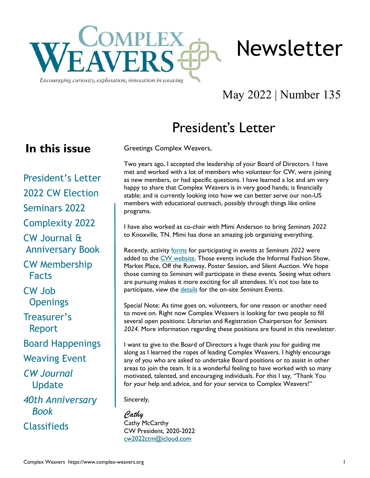

Encouraging curiosity, exploration, innovation in weaving

# May 2022 | Number 135

Newsletter

# President's Letter

### **In this issue**

President's Letter [2022 CW Election](#page-1-0) [Seminars 2022](#page-1-0) [Complexity 2022](#page-2-0) [CW Journal &](#page-3-0)  [Anniversary Book](#page-3-0) [CW Membership](#page-4-0)  [Facts](#page-4-0) [CW Job](#page-5-0)  **Openings** [Treasurer](#page-5-0)'s  [Report](#page-5-0) [Board Happenings](#page-6-0) [Weaving Event](#page-6-0) *[CW Journal](#page-7-0)* [Update](#page-7-0) *[40th Anniversary](#page-7-0)   [Book](#page-7-0)* [Classifieds](#page-8-0)

Greetings Complex Weavers,

Two years ago, I accepted the leadership of your Board of Directors. I have met and worked with a lot of members who volunteer for CW, were joining as new members, or had specific questions. I have learned a lot and am very happy to share that Complex Weavers is in very good hands; is financially stable; and is currently looking into how we can better serve our non-US members with educational outreach, possibly through things like online programs.

I have also worked as co-chair with Mimi Anderson to bring *Seminars 2022*  to Knoxville, TN. Mimi has done an amazing job organizing everything.

Recently, activity [forms](https://www.complex-weavers.org/seminar/seminars-2022/events/) for participating in events at *Seminars 2022* were added to the [CW website.](https://www.complex-weavers.org/) Those events include the Informal Fashion Show, Market Place, Off the Runway, Poster Session, and Silent Auction. We hope those coming to *Seminars* will participate in these events. Seeing what others are pursuing makes it more exciting for all attendees. It's not too late to participate, view the [details](https://www.complex-weavers.org/seminar/seminars-2022/events/) for the on-site *Seminars* Events.

Special Note: As time goes on, volunteers, for one reason or another need to move on. Right now Complex Weavers is looking for two people to fill several open positions: Librarian and Registration Chairperson for *Seminars 2024*. More information regarding these positions are found in this newsletter.

I want to give to the Board of Directors a huge thank you for guiding me along as I learned the ropes of leading Complex Weavers. I highly encourage any of you who are asked to undertake Board positions or to assist in other areas to join the team. It is a wonderful feeling to have worked with so many motivated, talented, and encouraging individuals. For this I say, "Thank You for your help and advice, and for your service to Complex Weavers!"

Sincerely,

*Cathy* Cathy McCarthy CW President, 2020-2022 [cw2022ctm@icloud.com](mailto:cw2022ctm@icloud.com)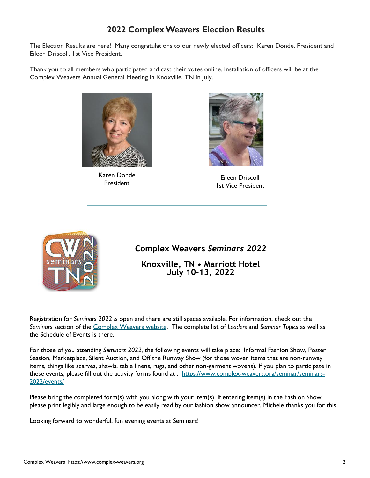### **2022 Complex Weavers Election Results**

<span id="page-1-0"></span>The Election Results are here! Many congratulations to our newly elected officers: Karen Donde, President and Eileen Driscoll, 1st Vice President.

Thank you to all members who participated and cast their votes online. Installation of officers will be at the Complex Weavers Annual General Meeting in Knoxville, TN in July.



Karen Donde President



Eileen Driscoll 1st Vice President



**Complex Weavers** *Seminars 2022*

**Knoxville, TN • Marriott Hotel July 10-13, 2022**

Registration for *Seminars 2022 is* open and there are still spaces available. For information, check out the *Seminars* section of the [Complex Weavers website.](https://www.complex-weavers.org/seminar/seminars-2022/) The complete list of *Leaders* and *Seminar Topics* as well as the Schedule of Events is there.

For those of you attending *Seminars 2022,* the following events will take place: Informal Fashion Show, Poster Session, Marketplace, Silent Auction, and Off the Runway Show (for those woven items that are non-runway items, things like scarves, shawls, table linens, rugs, and other non-garment wovens). If you plan to participate in these events, please fill out the activity forms found at : [https://www.complex-weavers.org/seminar/seminars-](https://www.complex-weavers.org/seminar/seminars-2022/events/)[2022/events/](https://www.complex-weavers.org/seminar/seminars-2022/events/)

Please bring the completed form(s) with you along with your item(s). If entering item(s) in the Fashion Show, please print legibly and large enough to be easily read by our fashion show announcer. Michele thanks you for this!

Looking forward to wonderful, fun evening events at Seminars!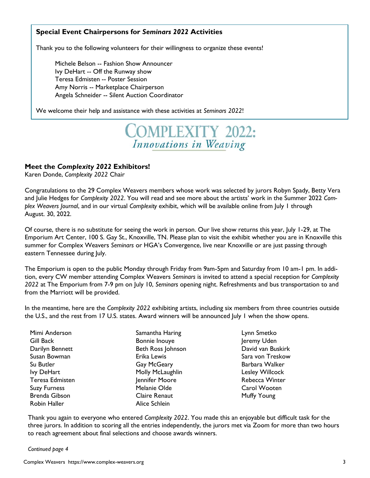#### <span id="page-2-0"></span>**Special Event Chairpersons for** *Seminars 2022* **Activities**

Thank you to the following volunteers for their willingness to organize these events!

Michele Belson -- Fashion Show Announcer Ivy DeHart -- Off the Runway show Teresa Edmisten -- Poster Session Amy Norris -- Marketplace Chairperson Angela Schneider -- Silent Auction Coordinator

We welcome their help and assistance with these activities at *Seminars 2022*!

## **COMPLEXITY 2022:** Innovations in Weaving

#### **Meet the** *Complexity 2022* **Exhibitors!**

Karen Donde, *Complexity 2022* Chair

Congratulations to the 29 Complex Weavers members whose work was selected by jurors Robyn Spady, Betty Vera and Julie Hedges for *Complexity 2022*. You will read and see more about the artists' work in the Summer 2022 *Complex Weavers Journal*, and in our virtual *Complexity* exhibit, which will be available online from July 1 through August. 30, 2022.

Of course, there is no substitute for seeing the work in person. Our live show returns this year, July 1-29, at The Emporium Art Center, 100 S. Gay St., Knoxville, TN. Please plan to visit the exhibit whether you are in Knoxville this summer for Complex Weavers *Seminars* or HGA's Convergence, live near Knoxville or are just passing through eastern Tennessee during July.

The Emporium is open to the public Monday through Friday from 9am-5pm and Saturday from 10 am-1 pm. In addition, every CW member attending Complex Weavers *Seminars* is invited to attend a special reception for *Complexity 2022* at The Emporium from 7-9 pm on July 10, *Seminars* opening night. Refreshments and bus transportation to and from the Marriott will be provided.

In the meantime, here are the *Complexity 2022* exhibiting artists, including six members from three countries outside the U.S., and the rest from 17 U.S. states. Award winners will be announced July 1 when the show opens.

| Mimi Anderson        | Samantha Haring      |
|----------------------|----------------------|
| <b>Gill Back</b>     | Bonnie Inouye        |
| Darilyn Bennett      | Beth Ross Johnson    |
| Susan Bowman         | Erika Lewis          |
| Su Butler            | Gay McGeary          |
| lvy DeHart           | Molly McLaughlin     |
| Teresa Edmisten      | Jennifer Moore       |
| <b>Suzy Furness</b>  | Melanie Olde         |
| <b>Brenda Gibson</b> | <b>Claire Renaut</b> |
| Robin Haller         | Alice Schlein        |

Lynn Smetko Jeremy Uden David van Buskirk Sara von Treskow Barbara Walker Lesley Willcock Rebecca Winter Carol Wooten Muffy Young

Thank you again to everyone who entered *Complexity 2022*. You made this an enjoyable but difficult task for the three jurors. In addition to scoring all the entries independently, the jurors met via Zoom for more than two hours to reach agreement about final selections and choose awards winners.

*Continued page 4*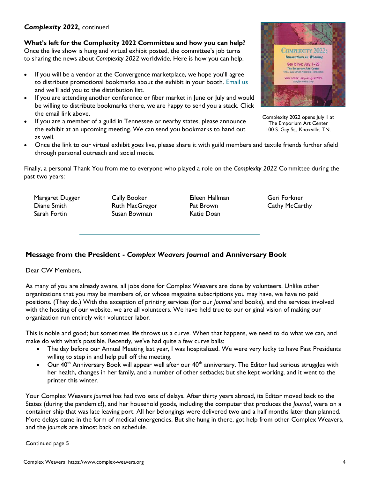#### • Once the link to our virtual exhibit goes live, please share it with guild members and textile friends further afield

through personal outreach and social media.

Finally, a personal Thank You from me to everyone who played a role on the *Complexity 2022* Committee during the past two years:

Margaret Dugger Diane Smith Sarah Fortin

Cally Booker Ruth MacGregor Susan Bowman

Eileen Hallman Pat Brown Katie Doan

Geri Forkner Cathy McCarthy

**Message from the President -** *Complex Weavers Journal* **and Anniversary Book**

Dear CW Members,

As many of you are already aware, all jobs done for Complex Weavers are done by volunteers. Unlike other organizations that you may be members of, or whose magazine subscriptions you may have, we have no paid positions. (They do.) With the exception of printing services (for our *Journal* and books), and the services involved with the hosting of our website, we are all volunteers. We have held true to our original vision of making our organization run entirely with volunteer labor.

This is noble and good; but sometimes life throws us a curve. When that happens, we need to do what we can, and make do with what's possible. Recently, we've had quite a few curve balls:

- The day before our Annual Meeting last year, I was hospitalized. We were very lucky to have Past Presidents willing to step in and help pull off the meeting.
- Our  $40<sup>th</sup>$  Anniversary Book will appear well after our  $40<sup>th</sup>$  anniversary. The Editor had serious struggles with her health, changes in her family, and a number of other setbacks; but she kept working, and it went to the printer this winter.

Your Complex Weavers *Journal* has had two sets of delays. After thirty years abroad, its Editor moved back to the States (during the pandemic!), and her household goods, including the computer that produces the *Journal*, were on a container ship that was late leaving port. All her belongings were delivered two and a half months later than planned. More delays came in the form of medical emergencies. But she hung in there, got help from other Complex Weavers, and the *Journals* are almost back on schedule.

#### Continued page 5

## <span id="page-3-0"></span>*Complexity 2022,* continued

**What's left for the Complexity 2022 Committee and how you can help?** Once the live show is hung and virtual exhibit posted, the committee's job turns to sharing the news about *Complexity 2022* worldwide. Here is how you can help.

- If you will be a vendor at the Convergence marketplace, we hope you'll agree to distribute promotional bookmarks about the exhibit in your booth. [Email us](mailto:cw.complexity2022@gmail.com) and we'll add you to the distribution list.
- If you are attending another conference or fiber market in June or July and would be willing to distribute bookmarks there, we are happy to send you a stack. Click the email link above.
- If you are a member of a guild in Tennessee or nearby states, please announce the exhibit at an upcoming meeting. We can send you bookmarks to hand out as well.



Complexity 2022 opens July 1 at The Emporium Art Center 100 S. Gay St., Knoxville, TN.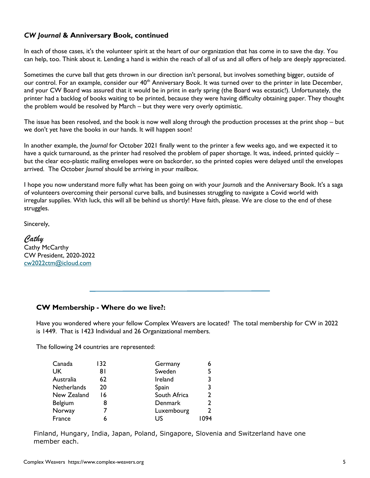### <span id="page-4-0"></span>*CW Journal* **& Anniversary Book, continued**

In each of those cases, it's the volunteer spirit at the heart of our organization that has come in to save the day. You can help, too. Think about it. Lending a hand is within the reach of all of us and all offers of help are deeply appreciated.

Sometimes the curve ball that gets thrown in our direction isn't personal, but involves something bigger, outside of our control. For an example, consider our 40<sup>th</sup> Anniversary Book. It was turned over to the printer in late December, and your CW Board was assured that it would be in print in early spring (the Board was ecstatic!). Unfortunately, the printer had a backlog of books waiting to be printed, because they were having difficulty obtaining paper. They thought the problem would be resolved by March – but they were very overly optimistic.

The issue has been resolved, and the book is now well along through the production processes at the print shop – but we don't yet have the books in our hands. It will happen soon!

In another example, the *Journal* for October 2021 finally went to the printer a few weeks ago, and we expected it to have a quick turnaround, as the printer had resolved the problem of paper shortage. It was, indeed, printed quickly but the clear eco-plastic mailing envelopes were on backorder, so the printed copies were delayed until the envelopes arrived. The October *Journal* should be arriving in your mailbox.

I hope you now understand more fully what has been going on with your *Journals* and the Anniversary Book. It's a saga of volunteers overcoming their personal curve balls, and businesses struggling to navigate a Covid world with irregular supplies. With luck, this will all be behind us shortly! Have faith, please. We are close to the end of these struggles.

Sincerely,

*Cathy* Cathy McCarthy CW President, 2020-2022 [cw2022ctm@icloud.com](mailto:cw2022ctm@icloud.com)

#### **CW Membership - Where do we live?:**

Have you wondered where your fellow Complex Weavers are located? The total membership for CW in 2022 is 1449. That is 1423 Individual and 26 Organizational members.

The following 24 countries are represented:

| Canada      | 132 | Germany      | 6   |
|-------------|-----|--------------|-----|
| <b>UK</b>   | 81  | Sweden       |     |
| Australia   | 62  | Ireland      | 3   |
| Netherlands | 20  | Spain        |     |
| New Zealand | 16  | South Africa |     |
| Belgium     | 8   | Denmark      |     |
| Norway      |     | Luxembourg   |     |
| France      | h   | US           | በ94 |

Finland, Hungary, India, Japan, Poland, Singapore, Slovenia and Switzerland have one member each.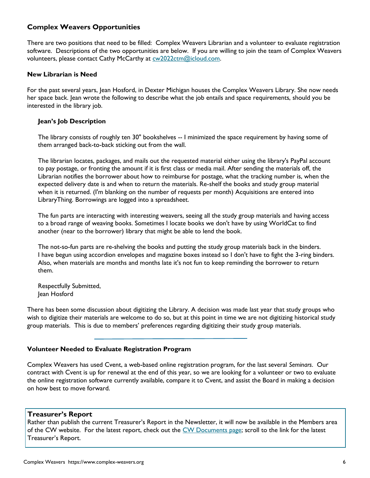#### <span id="page-5-0"></span>**Complex Weavers Opportunities**

There are two positions that need to be filled: Complex Weavers Librarian and a volunteer to evaluate registration software. Descriptions of the two opportunities are below. If you are willing to join the team of Complex Weavers volunteers, please contact Cathy McCarthy at [cw2022ctm@icloud.com.](mailto:cw2022ctm@icloud.com)

#### **New Librarian is Need**

For the past several years, Jean Hosford, in Dexter Michigan houses the Complex Weavers Library. She now needs her space back. Jean wrote the following to describe what the job entails and space requirements, should you be interested in the library job.

#### **Jean's Job Description**

The library consists of roughly ten 30" bookshelves -- I minimized the space requirement by having some of them arranged back-to-back sticking out from the wall.

The librarian locates, packages, and mails out the requested material either using the library's PayPal account to pay postage, or fronting the amount if it is first class or media mail. After sending the materials off, the Librarian notifies the borrower about how to reimburse for postage, what the tracking number is, when the expected delivery date is and when to return the materials. Re-shelf the books and study group material when it is returned. (I'm blanking on the number of requests per month) Acquisitions are entered into LibraryThing. Borrowings are logged into a spreadsheet.

The fun parts are interacting with interesting weavers, seeing all the study group materials and having access to a broad range of weaving books. Sometimes I locate books we don't have by using WorldCat to find another (near to the borrower) library that might be able to lend the book.

The not-so-fun parts are re-shelving the books and putting the study group materials back in the binders. I have begun using accordion envelopes and magazine boxes instead so I don't have to fight the 3-ring binders. Also, when materials are months and months late it's not fun to keep reminding the borrower to return them.

Respectfully Submitted, Jean Hosford

There has been some discussion about digitizing the Library. A decision was made last year that study groups who wish to digitize their materials are welcome to do so, but at this point in time we are not digitizing historical study group materials. This is due to members' preferences regarding digitizing their study group materials.

#### **Volunteer Needed to Evaluate Registration Program**

Complex Weavers has used Cvent, a web-based online registration program, for the last several *Seminars*. Our contract with Cvent is up for renewal at the end of this year, so we are looking for a volunteer or two to evaluate the online registration software currently available, compare it to Cvent, and assist the Board in making a decision on how best to move forward.

#### **Treasurer's Report**

Rather than publish the current Treasurer's Report in the Newsletter, it will now be available in the Members area of the CW website. For the latest report, check out the [CW Documents page;](https://www.complex-weavers.org/member-resources/cw-documents/) scroll to the link for the latest Treasurer's Report.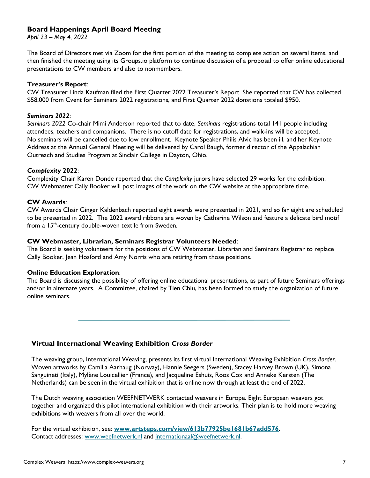#### <span id="page-6-0"></span>**Board Happenings April Board Meeting**

*April 23 – May 4, 2022*

The Board of Directors met via Zoom for the first portion of the meeting to complete action on several items, and then finished the meeting using its Groups.io platform to continue discussion of a proposal to offer online educational presentations to CW members and also to nonmembers.

#### **Treasurer's Report**:

CW Treasurer Linda Kaufman filed the First Quarter 2022 Treasurer's Report. She reported that CW has collected \$58,000 from Cvent for Seminars 2022 registrations, and First Quarter 2022 donations totaled \$950.

#### *Seminars 2022*:

*Seminars 2022* Co-chair Mimi Anderson reported that to date, *Seminars* registrations total 141 people including attendees, teachers and companions. There is no cutoff date for registrations, and walk-ins will be accepted. No seminars will be cancelled due to low enrollment. Keynote Speaker Philis Alvic has been ill, and her Keynote Address at the Annual General Meeting will be delivered by Carol Baugh, former director of the Appalachian Outreach and Studies Program at Sinclair College in Dayton, Ohio.

#### *Complexity* **2022**:

Complexity Chair Karen Donde reported that the *Complexity* jurors have selected 29 works for the exhibition. CW Webmaster Cally Booker will post images of the work on the CW website at the appropriate time.

#### **CW Awards**:

CW Awards Chair Ginger Kaldenbach reported eight awards were presented in 2021, and so far eight are scheduled to be presented in 2022. The 2022 award ribbons are woven by Catharine Wilson and feature a delicate bird motif from a 15<sup>th</sup>-century double-woven textile from Sweden.

#### **CW Webmaster, Librarian, Seminars Registrar Volunteers Needed**:

The Board is seeking volunteers for the positions of CW Webmaster, Librarian and Seminars Registrar to replace Cally Booker, Jean Hosford and Amy Norris who are retiring from those positions.

#### **Online Education Exploration**:

The Board is discussing the possibility of offering online educational presentations, as part of future Seminars offerings and/or in alternate years. A Committee, chaired by Tien Chiu, has been formed to study the organization of future online seminars.

### **Virtual International Weaving Exhibition** *Cross Border*

The weaving group, International Weaving, presents its first virtual International Weaving Exhibition *Cross Border*. Woven artworks by Camilla Aarhaug (Norway), Hannie Seegers (Sweden), Stacey Harvey Brown (UK), Simona Sanguineti (Italy), Mylène Louicellier (France), and Jacqueline Eshuis, Roos Cox and Anneke Kersten (The Netherlands) can be seen in the virtual exhibition that is online now through at least the end of 2022.

The Dutch weaving association WEEFNETWERK contacted weavers in Europe. Eight European weavers got together and organized this pilot international exhibition with their artworks. Their plan is to hold more weaving exhibitions with weavers from all over the world.

For the virtual exhibition, see: **[www.artsteps.com/view/613b77925be1681b67add576](http://www.artsteps.com/view/613b77925be1681b67add576)**. Contact addresses: [www.weefnetwerk.nl](http://www.weefnetwerk.nl) and [internationaal@weefnetwerk.nl.](mailto:internationaal@weefnetwerk.nl)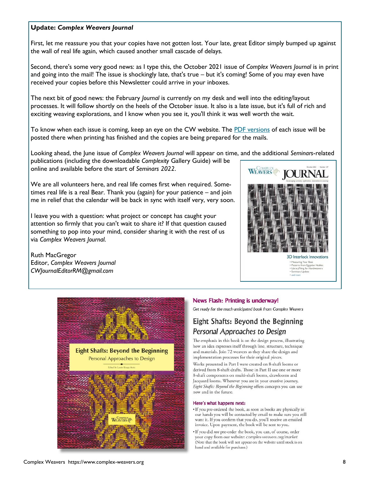#### <span id="page-7-0"></span>**Update:** *Complex Weavers Journal*

First, let me reassure you that your copies have not gotten lost. Your late, great Editor simply bumped up against the wall of real life again, which caused another small cascade of delays.

Second, there's some very good news: as I type this, the October 2021 issue of *Complex Weavers Journal* is in print and going into the mail! The issue is shockingly late, that's true – but it's coming! Some of you may even have received your copies before this Newsletter could arrive in your inboxes.

The next bit of good news: the February *Journal* is currently on my desk and well into the editing/layout processes. It will follow shortly on the heels of the October issue. It also is a late issue, but it's full of rich and exciting weaving explorations, and I know when you see it, you'll think it was well worth the wait.

To know when each issue is coming, keep an eye on the CW website. The [PDF versions](https://www.complex-weavers.org/journal/) of each issue will be posted there when printing has finished and the copies are being prepared for the mails.

Looking ahead, the June issue of *Complex Weavers Journal* will appear on time, and the additional *Seminars*-related publications (including the downloadable *Complexity* Gallery Guide) will be

online and available before the start of *Seminars 2022*.

We are all volunteers here, and real life comes first when required. Sometimes real life is a real Bear. Thank you (again) for your patience – and join me in relief that the calendar will be back in sync with itself very, very soon.

I leave you with a question: what project or concept has caught your attention so firmly that you can't wait to share it? If that question caused something to pop into your mind, consider sharing it with the rest of us via *Complex Weavers Journal*.

Ruth MacGregor Editor, *Complex Weavers Journal CWJournalEditorRM@gmail.com*



· Seminars Update · and more



#### News Flash: Printing is underway!

Get ready for the much-anticipated book from Complex Weavers

### Eight Shafts: Beyond the Beginning Personal Approaches to Design

The emphasis in this book is on the design process, illustrating how an idea expresses itself through line, structure, technique and materials. Join 72 weavers as they share the design and implementation processes for their original pieces.

Works presented in Part I were created on 8-shaft looms or derived from 8-shaft drafts. Those in Part II use one or more 8-shaft components on multi-shaft looms, drawlooms and Jacquard looms. Wherever you are in your creative journey, Eight Shafts: Beyond the Beginning offers concepts you can use now and in the future.

#### Here's what happens next:

- . If you pre-ordered the book, as soon as books are physically in our hands you will be contacted by email to make sure you still want it. If you confirm that you do, you'll receive an emailed invoice. Upon payment, the book will be sent to you.
- . If you did not pre-order the book, you can, of course, order your copy from our website: complex-weavers.org/market (Note that the book will not appear on the website until stock is on hand and available for purchase.)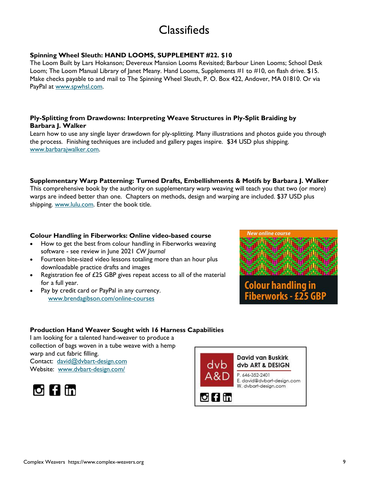## **Classifieds**

#### <span id="page-8-0"></span>**Spinning Wheel Sleuth: HAND LOOMS, SUPPLEMENT #22. \$10**

The Loom Built by Lars Hokanson; Devereux Mansion Looms Revisited; Barbour Linen Looms; School Desk Loom; The Loom Manual Library of Janet Meany. Hand Looms, Supplements #1 to #10, on flash drive. \$15. Make checks payable to and mail to The Spinning Wheel Sleuth, P. O. Box 422, Andover, MA 01810. Or via PayPal at [www.spwhsl.com.](http://www.spwhsl.com) 

#### **Ply-Splitting from Drawdowns: Interpreting Weave Structures in Ply-Split Braiding by Barbara J. Walker**

Learn how to use any single layer drawdown for ply-splitting. Many illustrations and photos guide you through the process. Finishing techniques are included and gallery pages inspire. \$34 USD plus shipping. [www.barbarajwalker.com.](http://www.barbarajwalker.com)

#### **Supplementary Warp Patterning: Turned Drafts, Embellishments & Motifs by Barbara J. Walker**

This comprehensive book by the authority on supplementary warp weaving will teach you that two (or more) warps are indeed better than one. Chapters on methods, design and warping are included. \$37 USD plus shipping. [www.lulu.com.](http://www.lulu.com) Enter the book title.

#### **Colour Handling in Fiberworks: Online video-based course**

- How to get the best from colour handling in Fiberworks weaving software - see review in June 2021 *CW Journal*
- Fourteen bite-sized video lessons totaling more than an hour plus downloadable practice drafts and images
- Registration fee of £25 GBP gives repeat access to all of the material for a full year.
- Pay by credit card or PayPal in any currency. [www.brendagibson.com/online-courses](https://www.brendagibson.com/online-courses/)





#### **Production Hand Weaver Sought with 16 Harness Capabilities**

I am looking for a talented hand-weaver to produce a collection of bags woven in a tube weave with a hemp warp and cut fabric filling. Contact: [david@dvbart-design.com](mailto:david@dvbart-design.com) Website: [www.dvbart-design.com/](https://www.dvbart-design.com/)